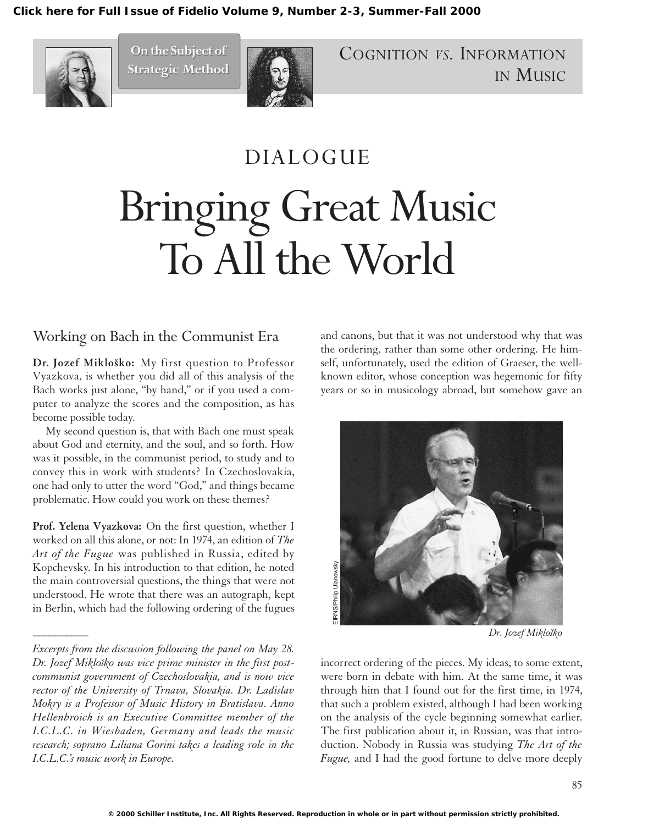**[Click here for Full Issue of Fidelio Volume 9, Number 2-3, Summer-Fall 2000](http://schillerinstitute.org/fidelio_archive/2000/fidv09n02-03-2000SuFa/index.html)**



**On the Subject of On the Subject of Strategic Method Strategic Method**



COGNITION *VS.* INFORMATION IN MUSIC

## DIALOGUE Bringing Great Music To All the World

## Working on Bach in the Communist Era

Dr. Jozef Mikloško: My first question to Professor Vyazkova, is whether you did all of this analysis of the Bach works just alone, "by hand," or if you used a computer to analyze the scores and the composition, as has become possible today.

My second question is, that with Bach one must speak about God and eternity, and the soul, and so forth. How was it possible, in the communist period, to study and to convey this in work with students? In Czechoslovakia, one had only to utter the word "God," and things became problematic. How could you work on these themes?

**Prof. Yelena Vyazkova:** On the first question, whether I worked on all this alone, or not: In 1974, an edition of *The Art of the Fugue* was published in Russia, edited by Kopchevsky. In his introduction to that edition, he noted the main controversial questions, the things that were not understood. He wrote that there was an autograph, kept in Berlin, which had the following ordering of the fugues

*\_\_\_\_\_\_\_\_\_\_*

and canons, but that it was not understood why that was the ordering, rather than some other ordering. He himself, unfortunately, used the edition of Graeser, the wellknown editor, whose conception was hegemonic for fifty years or so in musicology abroad, but somehow gave an



*Dr. Jozef Miklosˇko*

incorrect ordering of the pieces. My ideas, to some extent, were born in debate with him. At the same time, it was through him that I found out for the first time, in 1974, that such a problem existed, although I had been working on the analysis of the cycle beginning somewhat earlier. The first publication about it, in Russian, was that introduction. Nobody in Russia was studying *The Art of the Fugue,* and I had the good fortune to delve more deeply

*Excerpts from the discussion following the panel on May 28.* Dr. Jozef Mikloško was vice prime minister in the first post*communist government of Czechoslovakia, and is now vice rector of the University of Trnava, Slovakia. Dr. Ladislav Mokry is a Professor of Music History in Bratislava. Anno Hellenbroich is an Executive Committee member of the I.C.L.C. in Wiesbaden, Germany and leads the music research; soprano Liliana Gorini takes a leading role in the I.C.L.C.'s music work in Europe.*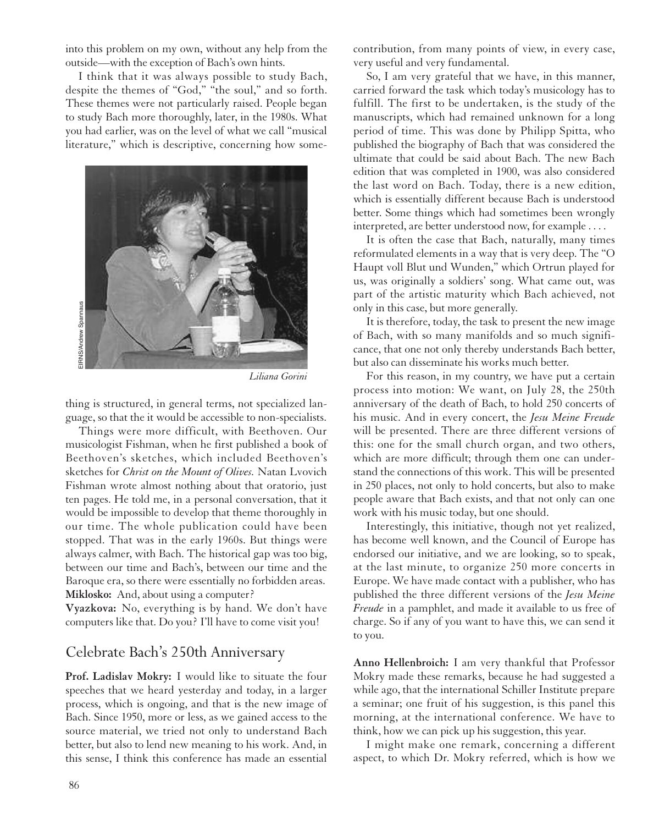into this problem on my own, without any help from the outside—with the exception of Bach's own hints.

I think that it was always possible to study Bach, despite the themes of "God," "the soul," and so forth. These themes were not particularly raised. People began to study Bach more thoroughly, later, in the 1980s. What you had earlier, was on the level of what we call "musical literature," which is descriptive, concerning how some-



*Liliana Gorini*

thing is structured, in general terms, not specialized language, so that the it would be accessible to non-specialists.

Things were more difficult, with Beethoven. Our musicologist Fishman, when he first published a book of Beethoven's sketches, which included Beethoven's sketches for *Christ on the Mount of Olives.* Natan Lvovich Fishman wrote almost nothing about that oratorio, just ten pages. He told me, in a personal conversation, that it would be impossible to develop that theme thoroughly in our time. The whole publication could have been stopped. That was in the early 1960s. But things were always calmer, with Bach. The historical gap was too big, between our time and Bach's, between our time and the Baroque era, so there were essentially no forbidden areas. **Miklosko:** And, about using a computer?

**Vyazkova:** No, everything is by hand. We don't have computers like that. Do you? I'll have to come visit you!

## Celebrate Bach's 250th Anniversary

**Prof. Ladislav Mokry:** I would like to situate the four speeches that we heard yesterday and today, in a larger process, which is ongoing, and that is the new image of Bach. Since 1950, more or less, as we gained access to the source material, we tried not only to understand Bach better, but also to lend new meaning to his work. And, in this sense, I think this conference has made an essential

contribution, from many points of view, in every case, very useful and very fundamental.

So, I am very grateful that we have, in this manner, carried forward the task which today's musicology has to fulfill. The first to be undertaken, is the study of the manuscripts, which had remained unknown for a long period of time. This was done by Philipp Spitta, who published the biography of Bach that was considered the ultimate that could be said about Bach. The new Bach edition that was completed in 1900, was also considered the last word on Bach. Today, there is a new edition, which is essentially different because Bach is understood better. Some things which had sometimes been wrongly interpreted, are better understood now, for example . . . .

It is often the case that Bach, naturally, many times reformulated elements in a way that is very deep. The "O Haupt voll Blut und Wunden," which Ortrun played for us, was originally a soldiers' song. What came out, was part of the artistic maturity which Bach achieved, not only in this case, but more generally.

It is therefore, today, the task to present the new image of Bach, with so many manifolds and so much significance, that one not only thereby understands Bach better, but also can disseminate his works much better.

For this reason, in my country, we have put a certain process into motion: We want, on July 28, the 250th anniversary of the death of Bach, to hold 250 concerts of his music. And in every concert, the *Jesu Meine Freude* will be presented. There are three different versions of this: one for the small church organ, and two others, which are more difficult; through them one can understand the connections of this work. This will be presented in 250 places, not only to hold concerts, but also to make people aware that Bach exists, and that not only can one work with his music today, but one should.

Interestingly, this initiative, though not yet realized, has become well known, and the Council of Europe has endorsed our initiative, and we are looking, so to speak, at the last minute, to organize 250 more concerts in Europe. We have made contact with a publisher, who has published the three different versions of the *Jesu Meine Freude* in a pamphlet, and made it available to us free of charge. So if any of you want to have this, we can send it to you.

**Anno Hellenbroich:** I am very thankful that Professor Mokry made these remarks, because he had suggested a while ago, that the international Schiller Institute prepare a seminar; one fruit of his suggestion, is this panel this morning, at the international conference. We have to think, how we can pick up his suggestion, this year.

I might make one remark, concerning a different aspect, to which Dr. Mokry referred, which is how we